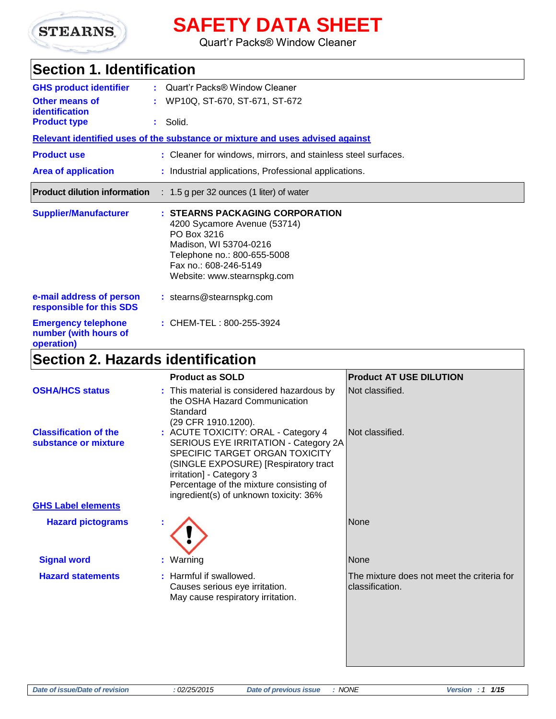

## **SAFETY DATA SHEET**

Quart'r Packs® Window Cleaner

### **Section 1. Identification**

| <b>GHS product identifier</b>                                     | Quart'r Packs® Window Cleaner                                                                                                                                                                   |
|-------------------------------------------------------------------|-------------------------------------------------------------------------------------------------------------------------------------------------------------------------------------------------|
| <b>Other means of</b>                                             | WP10Q, ST-670, ST-671, ST-672                                                                                                                                                                   |
| identification<br><b>Product type</b>                             | $:$ Solid.                                                                                                                                                                                      |
|                                                                   | Relevant identified uses of the substance or mixture and uses advised against                                                                                                                   |
| <b>Product use</b>                                                | : Cleaner for windows, mirrors, and stainless steel surfaces.                                                                                                                                   |
| <b>Area of application</b>                                        | : Industrial applications, Professional applications.                                                                                                                                           |
| <b>Product dilution information</b>                               | $: 1.5$ g per 32 ounces (1 liter) of water                                                                                                                                                      |
| <b>Supplier/Manufacturer</b>                                      | : STEARNS PACKAGING CORPORATION<br>4200 Sycamore Avenue (53714)<br>PO Box 3216<br>Madison, WI 53704-0216<br>Telephone no.: 800-655-5008<br>Fax no.: 608-246-5149<br>Website: www.stearnspkg.com |
| e-mail address of person<br>responsible for this SDS              | : stearns@stearnspkg.com                                                                                                                                                                        |
| <b>Emergency telephone</b><br>number (with hours of<br>operation) | : CHEM-TEL: 800-255-3924                                                                                                                                                                        |

## **Section 2. Hazards identification**

|                                                      | <b>Product as SOLD</b>                                                                                                                                                                                                                                                 | <b>Product AT USE DILUTION</b>                                |
|------------------------------------------------------|------------------------------------------------------------------------------------------------------------------------------------------------------------------------------------------------------------------------------------------------------------------------|---------------------------------------------------------------|
| <b>OSHA/HCS status</b>                               | : This material is considered hazardous by<br>the OSHA Hazard Communication<br>Standard<br>(29 CFR 1910.1200).                                                                                                                                                         | Not classified.                                               |
| <b>Classification of the</b><br>substance or mixture | : ACUTE TOXICITY: ORAL - Category 4<br>SERIOUS EYE IRRITATION - Category 2A<br>SPECIFIC TARGET ORGAN TOXICITY<br>(SINGLE EXPOSURE) [Respiratory tract<br>irritation] - Category 3<br>Percentage of the mixture consisting of<br>ingredient(s) of unknown toxicity: 36% | Not classified.                                               |
| <b>GHS Label elements</b>                            |                                                                                                                                                                                                                                                                        |                                                               |
| <b>Hazard pictograms</b>                             |                                                                                                                                                                                                                                                                        | <b>None</b>                                                   |
| <b>Signal word</b>                                   | : Warning                                                                                                                                                                                                                                                              | None                                                          |
| <b>Hazard statements</b>                             | : Harmful if swallowed.<br>Causes serious eye irritation.<br>May cause respiratory irritation.                                                                                                                                                                         | The mixture does not meet the criteria for<br>classification. |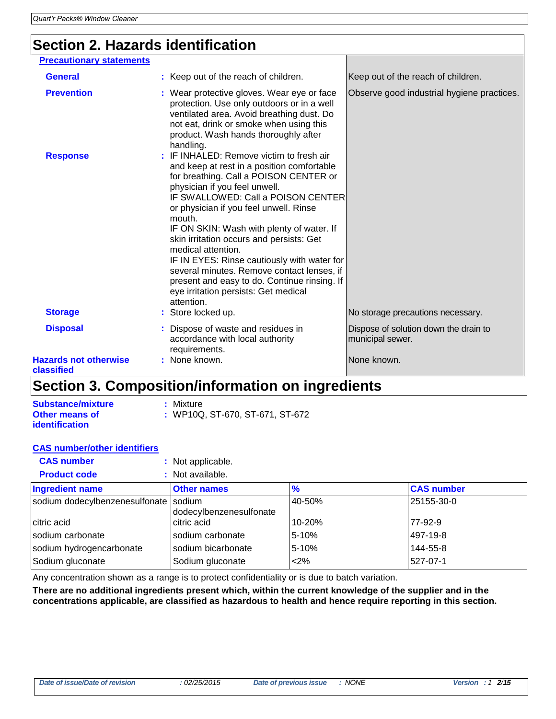## **Section 2. Hazards identification**

| <b>Precautionary statements</b>            |                                                                                                                                                                                                                                                                                                                                                                                                                                                                                                                                                                               |                                                           |
|--------------------------------------------|-------------------------------------------------------------------------------------------------------------------------------------------------------------------------------------------------------------------------------------------------------------------------------------------------------------------------------------------------------------------------------------------------------------------------------------------------------------------------------------------------------------------------------------------------------------------------------|-----------------------------------------------------------|
| <b>General</b>                             | : Keep out of the reach of children.                                                                                                                                                                                                                                                                                                                                                                                                                                                                                                                                          | Keep out of the reach of children.                        |
| <b>Prevention</b>                          | : Wear protective gloves. Wear eye or face<br>protection. Use only outdoors or in a well<br>ventilated area. Avoid breathing dust. Do<br>not eat, drink or smoke when using this<br>product. Wash hands thoroughly after<br>handling.                                                                                                                                                                                                                                                                                                                                         | Observe good industrial hygiene practices.                |
| <b>Response</b>                            | : IF INHALED: Remove victim to fresh air<br>and keep at rest in a position comfortable<br>for breathing. Call a POISON CENTER or<br>physician if you feel unwell.<br>IF SWALLOWED: Call a POISON CENTER<br>or physician if you feel unwell. Rinse<br>mouth.<br>IF ON SKIN: Wash with plenty of water. If<br>skin irritation occurs and persists: Get<br>medical attention.<br>IF IN EYES: Rinse cautiously with water for<br>several minutes. Remove contact lenses, if<br>present and easy to do. Continue rinsing. If<br>eye irritation persists: Get medical<br>attention. |                                                           |
| <b>Storage</b>                             | : Store locked up.                                                                                                                                                                                                                                                                                                                                                                                                                                                                                                                                                            | No storage precautions necessary.                         |
| <b>Disposal</b>                            | : Dispose of waste and residues in<br>accordance with local authority<br>requirements.                                                                                                                                                                                                                                                                                                                                                                                                                                                                                        | Dispose of solution down the drain to<br>municipal sewer. |
| <b>Hazards not otherwise</b><br>classified | : None known.                                                                                                                                                                                                                                                                                                                                                                                                                                                                                                                                                                 | None known.                                               |

#### **Section 3. Composition/information on ingredients**

| <b>Substance/mixture</b> | : Mixture                       |
|--------------------------|---------------------------------|
| <b>Other means of</b>    | : WP10Q, ST-670, ST-671, ST-672 |
| <i>identification</i>    |                                 |

#### **CAS number/other identifiers**

| <b>CAS number</b>                     | : Not applicable.       |               |                   |
|---------------------------------------|-------------------------|---------------|-------------------|
| <b>Product code</b>                   | : Not available.        |               |                   |
| <b>Ingredient name</b>                | <b>Other names</b>      | $\frac{9}{6}$ | <b>CAS number</b> |
| sodium dodecylbenzenesulfonate sodium | dodecylbenzenesulfonate | 40-50%        | 25155-30-0        |
| citric acid                           | citric acid             | 10-20%        | 77-92-9           |
| sodium carbonate                      | sodium carbonate        | 5-10%         | 497-19-8          |
| sodium hydrogencarbonate              | sodium bicarbonate      | 5-10%         | 144-55-8          |
| Sodium gluconate                      | Sodium gluconate        | <2%           | 527-07-1          |

Any concentration shown as a range is to protect confidentiality or is due to batch variation.

**There are no additional ingredients present which, within the current knowledge of the supplier and in the concentrations applicable, are classified as hazardous to health and hence require reporting in this section.**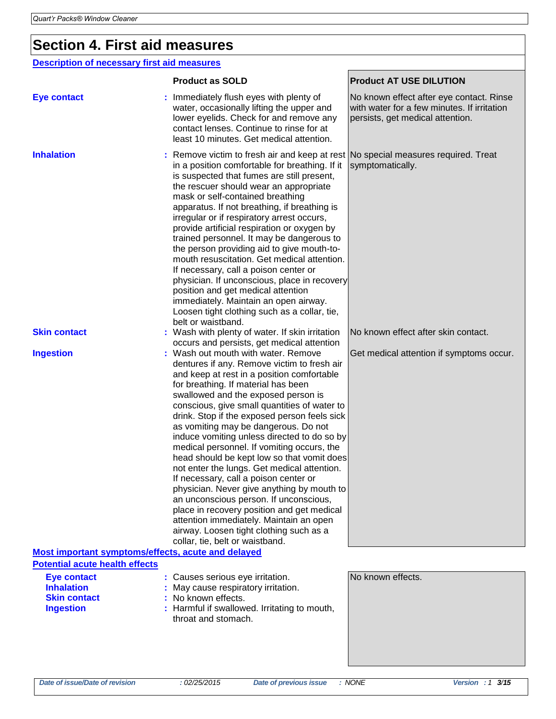### **Section 4. First aid measures**

#### **Description of necessary first aid measures**

|                                                                                             | <b>Product as SOLD</b>                                                                                                                                                                                                                                                                                                                                                                                                                                                                                                                                                                                                                                                                                                                                                                                                                                   | <b>Product AT USE DILUTION</b>                                                                                              |
|---------------------------------------------------------------------------------------------|----------------------------------------------------------------------------------------------------------------------------------------------------------------------------------------------------------------------------------------------------------------------------------------------------------------------------------------------------------------------------------------------------------------------------------------------------------------------------------------------------------------------------------------------------------------------------------------------------------------------------------------------------------------------------------------------------------------------------------------------------------------------------------------------------------------------------------------------------------|-----------------------------------------------------------------------------------------------------------------------------|
| <b>Eye contact</b>                                                                          | Immediately flush eyes with plenty of<br>water, occasionally lifting the upper and<br>lower eyelids. Check for and remove any<br>contact lenses. Continue to rinse for at<br>least 10 minutes. Get medical attention.                                                                                                                                                                                                                                                                                                                                                                                                                                                                                                                                                                                                                                    | No known effect after eye contact. Rinse<br>with water for a few minutes. If irritation<br>persists, get medical attention. |
| <b>Inhalation</b>                                                                           | : Remove victim to fresh air and keep at rest No special measures required. Treat<br>in a position comfortable for breathing. If it<br>is suspected that fumes are still present,<br>the rescuer should wear an appropriate<br>mask or self-contained breathing<br>apparatus. If not breathing, if breathing is<br>irregular or if respiratory arrest occurs,<br>provide artificial respiration or oxygen by<br>trained personnel. It may be dangerous to<br>the person providing aid to give mouth-to-<br>mouth resuscitation. Get medical attention.<br>If necessary, call a poison center or<br>physician. If unconscious, place in recovery<br>position and get medical attention<br>immediately. Maintain an open airway.<br>Loosen tight clothing such as a collar, tie,<br>belt or waistband.                                                     | symptomatically.                                                                                                            |
| <b>Skin contact</b>                                                                         | : Wash with plenty of water. If skin irritation<br>occurs and persists, get medical attention                                                                                                                                                                                                                                                                                                                                                                                                                                                                                                                                                                                                                                                                                                                                                            | No known effect after skin contact.                                                                                         |
| <b>Ingestion</b>                                                                            | : Wash out mouth with water. Remove<br>dentures if any. Remove victim to fresh air<br>and keep at rest in a position comfortable<br>for breathing. If material has been<br>swallowed and the exposed person is<br>conscious, give small quantities of water to<br>drink. Stop if the exposed person feels sick<br>as vomiting may be dangerous. Do not<br>induce vomiting unless directed to do so by<br>medical personnel. If vomiting occurs, the<br>head should be kept low so that vomit does<br>not enter the lungs. Get medical attention.<br>If necessary, call a poison center or<br>physician. Never give anything by mouth to<br>an unconscious person. If unconscious,<br>place in recovery position and get medical<br>attention immediately. Maintain an open<br>airway. Loosen tight clothing such as a<br>collar, tie, belt or waistband. | Get medical attention if symptoms occur.                                                                                    |
| Most important symptoms/effects, acute and delayed<br><b>Potential acute health effects</b> |                                                                                                                                                                                                                                                                                                                                                                                                                                                                                                                                                                                                                                                                                                                                                                                                                                                          |                                                                                                                             |
| <b>Eye contact</b><br><b>Inhalation</b><br><b>Skin contact</b><br><b>Ingestion</b>          | : Causes serious eye irritation.<br>May cause respiratory irritation.<br>No known effects.<br>Harmful if swallowed. Irritating to mouth,<br>throat and stomach.                                                                                                                                                                                                                                                                                                                                                                                                                                                                                                                                                                                                                                                                                          | No known effects.                                                                                                           |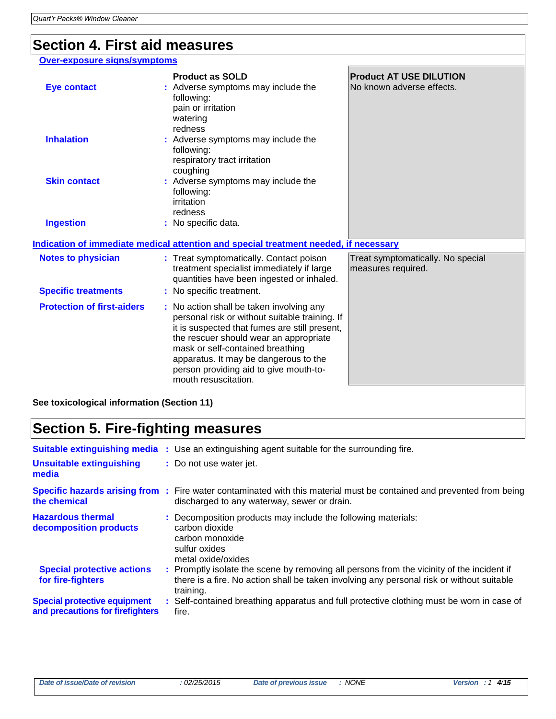#### **Section 4. First aid measures**

#### **Over-exposure signs/symptoms**

| <b>Eye contact</b>                                      | <b>Product as SOLD</b><br>: Adverse symptoms may include the<br>following:<br>pain or irritation<br>watering                                                                                                                                                                                                                         | <b>Product AT USE DILUTION</b><br>No known adverse effects. |
|---------------------------------------------------------|--------------------------------------------------------------------------------------------------------------------------------------------------------------------------------------------------------------------------------------------------------------------------------------------------------------------------------------|-------------------------------------------------------------|
| <b>Inhalation</b>                                       | redness<br>: Adverse symptoms may include the<br>following:<br>respiratory tract irritation<br>coughing                                                                                                                                                                                                                              |                                                             |
| <b>Skin contact</b>                                     | : Adverse symptoms may include the<br>following:<br>irritation<br>redness                                                                                                                                                                                                                                                            |                                                             |
| <b>Ingestion</b>                                        | : No specific data.                                                                                                                                                                                                                                                                                                                  |                                                             |
|                                                         | Indication of immediate medical attention and special treatment needed, if necessary                                                                                                                                                                                                                                                 |                                                             |
| <b>Notes to physician</b><br><b>Specific treatments</b> | : Treat symptomatically. Contact poison<br>treatment specialist immediately if large<br>quantities have been ingested or inhaled.<br>: No specific treatment.                                                                                                                                                                        | Treat symptomatically. No special<br>measures required.     |
| <b>Protection of first-aiders</b>                       | : No action shall be taken involving any<br>personal risk or without suitable training. If<br>it is suspected that fumes are still present,<br>the rescuer should wear an appropriate<br>mask or self-contained breathing<br>apparatus. It may be dangerous to the<br>person providing aid to give mouth-to-<br>mouth resuscitation. |                                                             |
| See toxicological information (Section 11)              |                                                                                                                                                                                                                                                                                                                                      |                                                             |

## **Section 5. Fire-fighting measures**

| Unsuitable extinguishing<br>media                                       | <b>Suitable extinguishing media</b> : Use an extinguishing agent suitable for the surrounding fire.<br>: Do not use water jet.                                                                      |
|-------------------------------------------------------------------------|-----------------------------------------------------------------------------------------------------------------------------------------------------------------------------------------------------|
| the chemical                                                            | Specific hazards arising from: Fire water contaminated with this material must be contained and prevented from being<br>discharged to any waterway, sewer or drain.                                 |
| <b>Hazardous thermal</b><br>decomposition products                      | : Decomposition products may include the following materials:<br>carbon dioxide<br>carbon monoxide<br>sulfur oxides<br>metal oxide/oxides                                                           |
| <b>Special protective actions</b><br>for fire-fighters                  | : Promptly isolate the scene by removing all persons from the vicinity of the incident if<br>there is a fire. No action shall be taken involving any personal risk or without suitable<br>training. |
| <b>Special protective equipment</b><br>and precautions for firefighters | : Self-contained breathing apparatus and full protective clothing must be worn in case of<br>fire.                                                                                                  |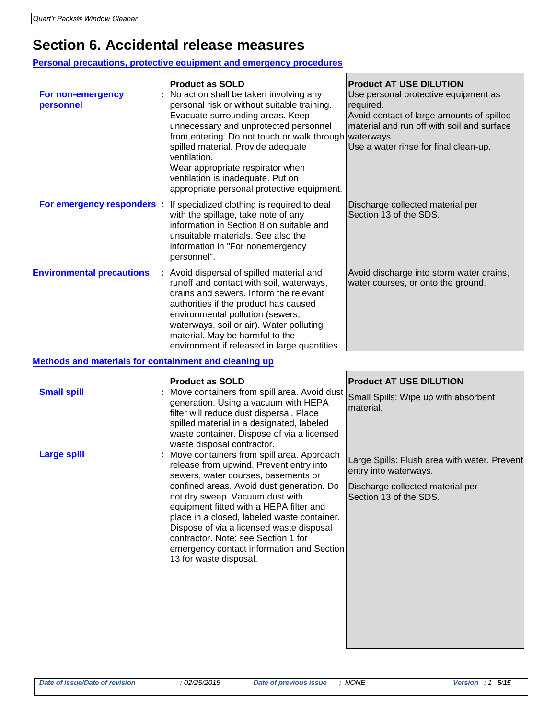#### **Section 6. Accidental release measures**

#### **Personal precautions, protective equipment and emergency procedures**

| For non-emergency<br>personnel                        | <b>Product as SOLD</b><br>No action shall be taken involving any<br>personal risk or without suitable training.<br>Evacuate surrounding areas. Keep<br>unnecessary and unprotected personnel<br>from entering. Do not touch or walk through waterways.<br>spilled material. Provide adequate<br>ventilation.<br>Wear appropriate respirator when<br>ventilation is inadequate. Put on<br>appropriate personal protective equipment. | <b>Product AT USE DILUTION</b><br>Use personal protective equipment as<br>required.<br>Avoid contact of large amounts of spilled<br>material and run off with soil and surface<br>Use a water rinse for final clean-up. |  |  |
|-------------------------------------------------------|-------------------------------------------------------------------------------------------------------------------------------------------------------------------------------------------------------------------------------------------------------------------------------------------------------------------------------------------------------------------------------------------------------------------------------------|-------------------------------------------------------------------------------------------------------------------------------------------------------------------------------------------------------------------------|--|--|
| For emergency responders :                            | If specialized clothing is required to deal<br>with the spillage, take note of any<br>information in Section 8 on suitable and<br>unsuitable materials. See also the<br>information in "For nonemergency<br>personnel".                                                                                                                                                                                                             | Discharge collected material per<br>Section 13 of the SDS.                                                                                                                                                              |  |  |
| <b>Environmental precautions</b>                      | : Avoid dispersal of spilled material and<br>runoff and contact with soil, waterways,<br>drains and sewers. Inform the relevant<br>authorities if the product has caused<br>environmental pollution (sewers,<br>waterways, soil or air). Water polluting<br>material. May be harmful to the<br>environment if released in large quantities.                                                                                         | Avoid discharge into storm water drains,<br>water courses, or onto the ground.                                                                                                                                          |  |  |
| Methods and materials for containment and cleaning up |                                                                                                                                                                                                                                                                                                                                                                                                                                     |                                                                                                                                                                                                                         |  |  |
| <b>Small spill</b>                                    | <b>Product as SOLD</b><br>Move containers from spill area. Avoid dust<br>generation. Using a vacuum with HEPA<br>filter will reduce dust dispersal. Place<br>spilled material in a designated, labeled                                                                                                                                                                                                                              | <b>Product AT USE DILUTION</b><br>Small Spills: Wipe up with absorbent<br>material.                                                                                                                                     |  |  |

waste container. Dispose of via a licensed

release from upwind. Prevent entry into sewers, water courses, basements or confined areas. Avoid dust generation. Do

emergency contact information and Section

not dry sweep. Vacuum dust with equipment fitted with a HEPA filter and place in a closed, labeled waste container. Dispose of via a licensed waste disposal contractor. Note: see Section 1 for

waste disposal contractor.

13 for waste disposal.

**Large spill Example 20 Figure 1 Server :** Move containers from spill area. Approach

Large Spills: Flush area with water. Prevent entry into waterways.

Discharge collected material per Section 13 of the SDS.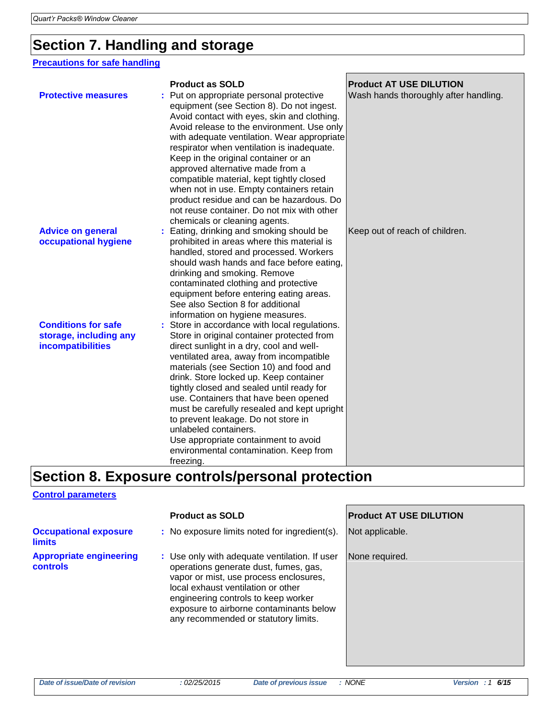### **Section 7. Handling and storage**

#### **Precautions for safe handling**

|                                                                                  | <b>Product as SOLD</b>                                                                                                                                                                                                                                                                                                                                                                                                                                                                                                                                                       | <b>Product AT USE DILUTION</b>        |
|----------------------------------------------------------------------------------|------------------------------------------------------------------------------------------------------------------------------------------------------------------------------------------------------------------------------------------------------------------------------------------------------------------------------------------------------------------------------------------------------------------------------------------------------------------------------------------------------------------------------------------------------------------------------|---------------------------------------|
| <b>Protective measures</b>                                                       | Put on appropriate personal protective<br>equipment (see Section 8). Do not ingest.<br>Avoid contact with eyes, skin and clothing.<br>Avoid release to the environment. Use only<br>with adequate ventilation. Wear appropriate<br>respirator when ventilation is inadequate.<br>Keep in the original container or an<br>approved alternative made from a<br>compatible material, kept tightly closed<br>when not in use. Empty containers retain<br>product residue and can be hazardous. Do<br>not reuse container. Do not mix with other<br>chemicals or cleaning agents. | Wash hands thoroughly after handling. |
| <b>Advice on general</b><br>occupational hygiene                                 | Eating, drinking and smoking should be<br>prohibited in areas where this material is<br>handled, stored and processed. Workers<br>should wash hands and face before eating,<br>drinking and smoking. Remove<br>contaminated clothing and protective<br>equipment before entering eating areas.<br>See also Section 8 for additional<br>information on hygiene measures.                                                                                                                                                                                                      | Keep out of reach of children.        |
| <b>Conditions for safe</b><br>storage, including any<br><b>incompatibilities</b> | Store in accordance with local regulations.<br>Store in original container protected from<br>direct sunlight in a dry, cool and well-<br>ventilated area, away from incompatible<br>materials (see Section 10) and food and<br>drink. Store locked up. Keep container<br>tightly closed and sealed until ready for<br>use. Containers that have been opened<br>must be carefully resealed and kept upright<br>to prevent leakage. Do not store in<br>unlabeled containers.<br>Use appropriate containment to avoid<br>environmental contamination. Keep from<br>freezing.    |                                       |

## **Section 8. Exposure controls/personal protection**

#### **Control parameters**

|                                                   | <b>Product as SOLD</b>                                                                                                                                                                                                                                                                           | <b>Product AT USE DILUTION</b> |
|---------------------------------------------------|--------------------------------------------------------------------------------------------------------------------------------------------------------------------------------------------------------------------------------------------------------------------------------------------------|--------------------------------|
| <b>Occupational exposure</b><br><b>limits</b>     | : No exposure limits noted for ingredient(s).                                                                                                                                                                                                                                                    | Not applicable.                |
| <b>Appropriate engineering</b><br><b>controls</b> | : Use only with adequate ventilation. If user<br>operations generate dust, fumes, gas,<br>vapor or mist, use process enclosures,<br>local exhaust ventilation or other<br>engineering controls to keep worker<br>exposure to airborne contaminants below<br>any recommended or statutory limits. | None required.                 |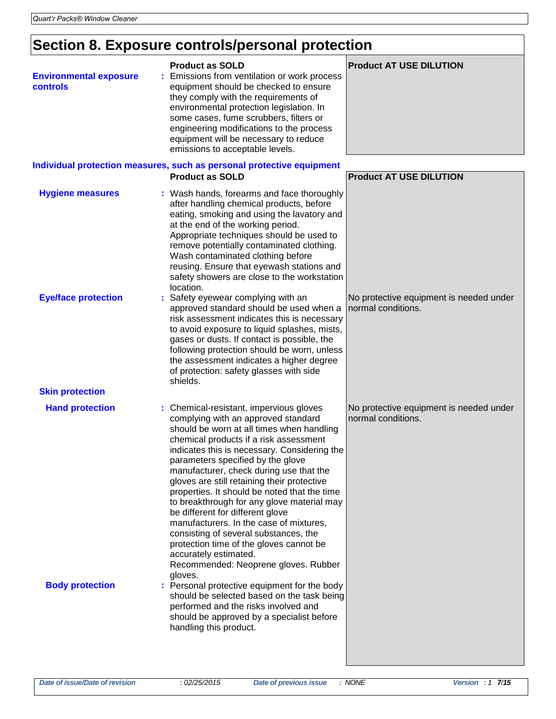## **Section 8. Exposure controls/personal protection**

| <b>Environmental exposure</b><br>controls | <b>Product as SOLD</b><br>Emissions from ventilation or work process<br>equipment should be checked to ensure<br>they comply with the requirements of<br>environmental protection legislation. In<br>some cases, fume scrubbers, filters or<br>engineering modifications to the process<br>equipment will be necessary to reduce<br>emissions to acceptable levels.                                                                                                                                                                                                                                                                                                                               | <b>Product AT USE DILUTION</b>                                |
|-------------------------------------------|---------------------------------------------------------------------------------------------------------------------------------------------------------------------------------------------------------------------------------------------------------------------------------------------------------------------------------------------------------------------------------------------------------------------------------------------------------------------------------------------------------------------------------------------------------------------------------------------------------------------------------------------------------------------------------------------------|---------------------------------------------------------------|
|                                           | Individual protection measures, such as personal protective equipment<br><b>Product as SOLD</b>                                                                                                                                                                                                                                                                                                                                                                                                                                                                                                                                                                                                   | <b>Product AT USE DILUTION</b>                                |
| <b>Hygiene measures</b>                   | : Wash hands, forearms and face thoroughly<br>after handling chemical products, before<br>eating, smoking and using the lavatory and<br>at the end of the working period.<br>Appropriate techniques should be used to<br>remove potentially contaminated clothing.<br>Wash contaminated clothing before<br>reusing. Ensure that eyewash stations and<br>safety showers are close to the workstation<br>location.                                                                                                                                                                                                                                                                                  |                                                               |
| <b>Eye/face protection</b>                | Safety eyewear complying with an<br>approved standard should be used when a<br>risk assessment indicates this is necessary<br>to avoid exposure to liquid splashes, mists,<br>gases or dusts. If contact is possible, the<br>following protection should be worn, unless<br>the assessment indicates a higher degree<br>of protection: safety glasses with side<br>shields.                                                                                                                                                                                                                                                                                                                       | No protective equipment is needed under<br>normal conditions. |
| <b>Skin protection</b>                    |                                                                                                                                                                                                                                                                                                                                                                                                                                                                                                                                                                                                                                                                                                   |                                                               |
| <b>Hand protection</b>                    | : Chemical-resistant, impervious gloves<br>complying with an approved standard<br>should be worn at all times when handling<br>chemical products if a risk assessment<br>indicates this is necessary. Considering the<br>parameters specified by the glove<br>manufacturer, check during use that the<br>gloves are still retaining their protective<br>properties. It should be noted that the time<br>to breakthrough for any glove material may<br>be different for different glove<br>manufacturers. In the case of mixtures,<br>consisting of several substances, the<br>protection time of the gloves cannot be<br>accurately estimated.<br>Recommended: Neoprene gloves. Rubber<br>gloves. | No protective equipment is needed under<br>normal conditions. |
| <b>Body protection</b>                    | : Personal protective equipment for the body<br>should be selected based on the task being<br>performed and the risks involved and<br>should be approved by a specialist before<br>handling this product.                                                                                                                                                                                                                                                                                                                                                                                                                                                                                         |                                                               |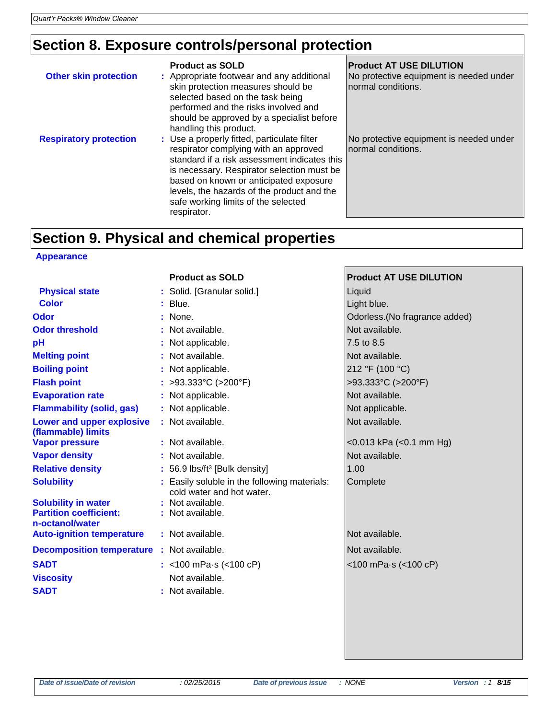### **Section 8. Exposure controls/personal protection**

| <b>Other skin protection</b>  | <b>Product as SOLD</b><br>: Appropriate footwear and any additional<br>skin protection measures should be<br>selected based on the task being<br>performed and the risks involved and<br>should be approved by a specialist before<br>handling this product.                                                                     | <b>Product AT USE DILUTION</b><br>No protective equipment is needed under<br>normal conditions. |
|-------------------------------|----------------------------------------------------------------------------------------------------------------------------------------------------------------------------------------------------------------------------------------------------------------------------------------------------------------------------------|-------------------------------------------------------------------------------------------------|
| <b>Respiratory protection</b> | : Use a properly fitted, particulate filter<br>respirator complying with an approved<br>standard if a risk assessment indicates this<br>is necessary. Respirator selection must be<br>based on known or anticipated exposure<br>levels, the hazards of the product and the<br>safe working limits of the selected<br>respirator. | No protective equipment is needed under<br>normal conditions.                                   |

## **Section 9. Physical and chemical properties**

#### **Appearance**

|                                                                                | <b>Product as SOLD</b>                                                    | <b>Product AT USE DILUTION</b> |
|--------------------------------------------------------------------------------|---------------------------------------------------------------------------|--------------------------------|
| <b>Physical state</b>                                                          | : Solid. [Granular solid.]                                                | Liquid                         |
| <b>Color</b>                                                                   | $:$ Blue.                                                                 | Light blue.                    |
| <b>Odor</b>                                                                    | : None.                                                                   | Odorless. (No fragrance added) |
| <b>Odor threshold</b>                                                          | : Not available.                                                          | Not available.                 |
| pН                                                                             | : Not applicable.                                                         | 7.5 to 8.5                     |
| <b>Melting point</b>                                                           | : Not available.                                                          | Not available.                 |
| <b>Boiling point</b>                                                           | : Not applicable.                                                         | 212 °F (100 °C)                |
| <b>Flash point</b>                                                             | : >93.333°C (>200°F)                                                      | >93.333°C (>200°F)             |
| <b>Evaporation rate</b>                                                        | : Not applicable.                                                         | Not available.                 |
| <b>Flammability (solid, gas)</b>                                               | : Not applicable.                                                         | Not applicable.                |
| <b>Lower and upper explosive</b><br>(flammable) limits                         | : Not available.                                                          | Not available.                 |
| <b>Vapor pressure</b>                                                          | : Not available.                                                          | $<$ 0.013 kPa $(<$ 0.1 mm Hg)  |
| <b>Vapor density</b>                                                           | : Not available.                                                          | Not available.                 |
| <b>Relative density</b>                                                        | : 56.9 lbs/ft <sup>3</sup> [Bulk density]                                 | 1.00                           |
| <b>Solubility</b>                                                              | : Easily soluble in the following materials:<br>cold water and hot water. | Complete                       |
| <b>Solubility in water</b><br><b>Partition coefficient:</b><br>n-octanol/water | : Not available.<br>: Not available.                                      |                                |
| <b>Auto-ignition temperature</b>                                               | : Not available.                                                          | Not available.                 |
| <b>Decomposition temperature : Not available.</b>                              |                                                                           | Not available.                 |
| <b>SADT</b>                                                                    | : <100 mPa $\cdot$ s (<100 cP)                                            | <100 mPa-s (<100 cP)           |
| <b>Viscosity</b>                                                               | Not available.                                                            |                                |
| <b>SADT</b>                                                                    | : Not available.                                                          |                                |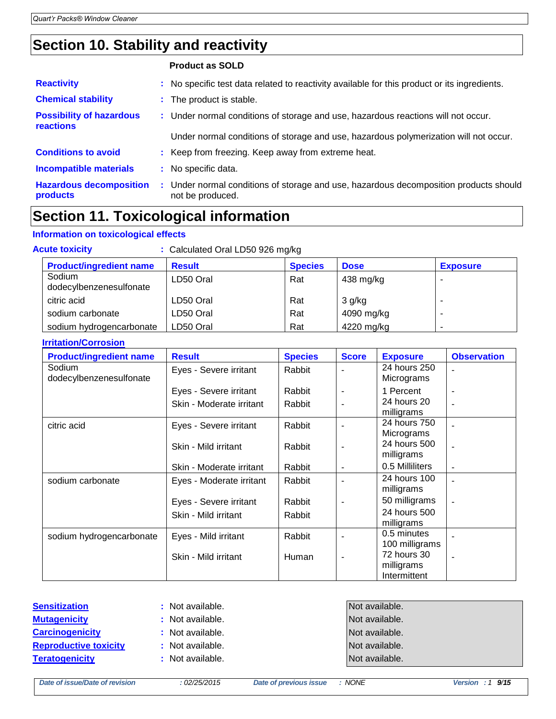### **Section 10. Stability and reactivity**

| <b>Product as SOLD</b> |  |  |  |
|------------------------|--|--|--|
|------------------------|--|--|--|

| <b>Reactivity</b>                            | : No specific test data related to reactivity available for this product or its ingredients.              |
|----------------------------------------------|-----------------------------------------------------------------------------------------------------------|
| <b>Chemical stability</b>                    | : The product is stable.                                                                                  |
| <b>Possibility of hazardous</b><br>reactions | : Under normal conditions of storage and use, hazardous reactions will not occur.                         |
|                                              | Under normal conditions of storage and use, hazardous polymerization will not occur.                      |
| <b>Conditions to avoid</b>                   | : Keep from freezing. Keep away from extreme heat.                                                        |
| <b>Incompatible materials</b>                | : No specific data.                                                                                       |
| <b>Hazardous decomposition</b><br>products   | : Under normal conditions of storage and use, hazardous decomposition products should<br>not be produced. |

### **Section 11. Toxicological information**

#### **Information on toxicological effects**

| : Calculated Oral LD50 926 mg/kg<br><b>Acute toxicity</b> |               |                |                     |                 |  |
|-----------------------------------------------------------|---------------|----------------|---------------------|-----------------|--|
| <b>Product/ingredient name</b>                            | <b>Result</b> | <b>Species</b> | <b>Dose</b>         | <b>Exposure</b> |  |
| Sodium<br>dodecylbenzenesulfonate                         | LD50 Oral     | Rat            | $438 \text{ mg/kg}$ |                 |  |
| citric acid                                               | LD50 Oral     | Rat            | $3$ g/kg            |                 |  |
| sodium carbonate                                          | LD50 Oral     | Rat            | 4090 mg/kg          |                 |  |
| sodium hydrogencarbonate                                  | LD50 Oral     | Rat            | 4220 mg/kg          |                 |  |

#### **Irritation/Corrosion**

| <b>Product/ingredient name</b>    | <b>Result</b>            | <b>Species</b> | <b>Score</b> | <b>Exposure</b>                           | <b>Observation</b> |
|-----------------------------------|--------------------------|----------------|--------------|-------------------------------------------|--------------------|
| Sodium<br>dodecylbenzenesulfonate | Eyes - Severe irritant   | Rabbit         |              | 24 hours 250<br>Micrograms                |                    |
|                                   | Eyes - Severe irritant   | Rabbit         |              | 1 Percent                                 |                    |
|                                   | Skin - Moderate irritant | Rabbit         |              | 24 hours 20<br>milligrams                 |                    |
| citric acid                       | Eyes - Severe irritant   | Rabbit         |              | 24 hours 750<br>Micrograms                |                    |
|                                   | Skin - Mild irritant     | Rabbit         |              | 24 hours 500<br>milligrams                | $\blacksquare$     |
|                                   | Skin - Moderate irritant | Rabbit         |              | 0.5 Milliliters                           |                    |
| sodium carbonate                  | Eyes - Moderate irritant | Rabbit         |              | 24 hours 100<br>milligrams                |                    |
|                                   | Eyes - Severe irritant   | Rabbit         |              | 50 milligrams                             |                    |
|                                   | Skin - Mild irritant     | Rabbit         |              | 24 hours 500<br>milligrams                |                    |
| sodium hydrogencarbonate          | Eyes - Mild irritant     | Rabbit         |              | 0.5 minutes<br>100 milligrams             |                    |
|                                   | Skin - Mild irritant     | Human          | ٠            | 72 hours 30<br>milligrams<br>Intermittent |                    |

#### **Sensitization :** Not available. **Mutagenicity :** Not available. **Carcinogenicity :** Not available. **Reproductive toxicity** : Not available. **Teratogenicity :** Not available.

| Not available. |
|----------------|
| Not available. |
| Not available. |
| Not available. |
| Not available. |

*Date of issue/Date of revision : 02/25/2015 Date of previous issue : NONE Version : 1 9/15*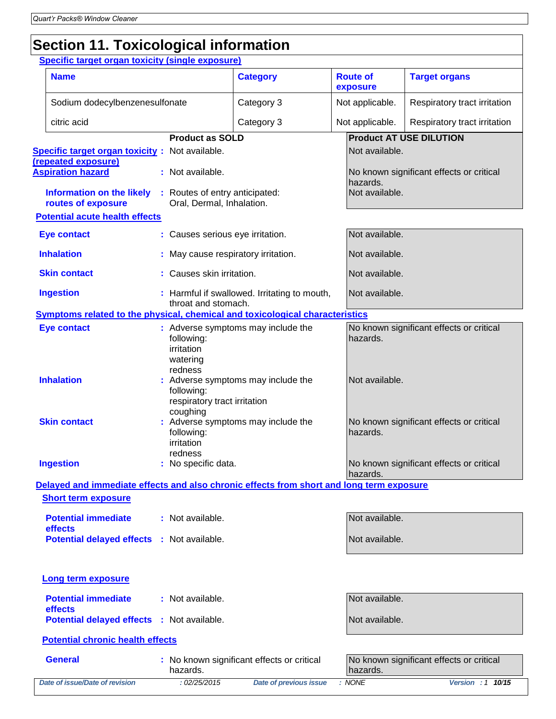# **Section 11. Toxicological information**

**Specific target organ toxicity (single exposure)**

|                                | <b>Specific target organ toxicity (single exposure)</b>                                  |  |                                                                   |                                              |                                                      |                              |                                          |
|--------------------------------|------------------------------------------------------------------------------------------|--|-------------------------------------------------------------------|----------------------------------------------|------------------------------------------------------|------------------------------|------------------------------------------|
|                                | <b>Name</b>                                                                              |  |                                                                   | <b>Category</b>                              |                                                      | <b>Route of</b><br>exposure  | <b>Target organs</b>                     |
| Sodium dodecylbenzenesulfonate |                                                                                          |  | Category 3                                                        |                                              | Not applicable.                                      | Respiratory tract irritation |                                          |
|                                | citric acid                                                                              |  |                                                                   | Category 3                                   |                                                      | Not applicable.              | Respiratory tract irritation             |
|                                |                                                                                          |  | <b>Product as SOLD</b>                                            |                                              |                                                      |                              | <b>Product AT USE DILUTION</b>           |
|                                | <b>Specific target organ toxicity:</b> Not available.                                    |  |                                                                   |                                              |                                                      | Not available.               |                                          |
|                                | (repeated exposure)<br><b>Aspiration hazard</b>                                          |  | : Not available.                                                  |                                              |                                                      |                              | No known significant effects or critical |
|                                |                                                                                          |  |                                                                   |                                              |                                                      | hazards.                     |                                          |
|                                | <b>Information on the likely</b><br>routes of exposure                                   |  | : Routes of entry anticipated:<br>Oral, Dermal, Inhalation.       |                                              |                                                      | Not available.               |                                          |
|                                | <b>Potential acute health effects</b>                                                    |  |                                                                   |                                              |                                                      |                              |                                          |
|                                | <b>Eye contact</b>                                                                       |  | : Causes serious eye irritation.                                  |                                              |                                                      | Not available.               |                                          |
|                                | <b>Inhalation</b>                                                                        |  | : May cause respiratory irritation.                               |                                              |                                                      | Not available.               |                                          |
|                                | <b>Skin contact</b>                                                                      |  | : Causes skin irritation.                                         |                                              |                                                      | Not available.               |                                          |
|                                | <b>Ingestion</b>                                                                         |  | throat and stomach.                                               | : Harmful if swallowed. Irritating to mouth, |                                                      | Not available.               |                                          |
|                                | Symptoms related to the physical, chemical and toxicological characteristics             |  |                                                                   |                                              |                                                      |                              |                                          |
|                                | <b>Eye contact</b>                                                                       |  | following:<br>irritation                                          | : Adverse symptoms may include the           |                                                      | hazards.                     | No known significant effects or critical |
|                                | <b>Inhalation</b>                                                                        |  | watering<br>redness<br>following:<br>respiratory tract irritation | : Adverse symptoms may include the           | Not available.                                       |                              |                                          |
|                                | <b>Skin contact</b>                                                                      |  | coughing<br>following:<br>irritation<br>redness                   | : Adverse symptoms may include the           | No known significant effects or critical<br>hazards. |                              |                                          |
|                                | <b>Ingestion</b>                                                                         |  | : No specific data.                                               |                                              |                                                      | hazards.                     | No known significant effects or critical |
|                                | Delayed and immediate effects and also chronic effects from short and long term exposure |  |                                                                   |                                              |                                                      |                              |                                          |
|                                | <b>Short term exposure</b>                                                               |  |                                                                   |                                              |                                                      |                              |                                          |
|                                | <b>Potential immediate</b><br>effects                                                    |  | : Not available.                                                  |                                              |                                                      | Not available.               |                                          |
|                                | <b>Potential delayed effects : Not available.</b>                                        |  |                                                                   | Not available.                               |                                                      |                              |                                          |
|                                | <b>Long term exposure</b>                                                                |  |                                                                   |                                              |                                                      |                              |                                          |
|                                | <b>Potential immediate</b><br>effects                                                    |  | : Not available.                                                  |                                              |                                                      | Not available.               |                                          |
|                                | <b>Potential delayed effects</b>                                                         |  | : Not available.                                                  |                                              |                                                      | Not available.               |                                          |
|                                | <b>Potential chronic health effects</b>                                                  |  |                                                                   |                                              |                                                      |                              |                                          |
|                                | <b>General</b>                                                                           |  | hazards.                                                          | : No known significant effects or critical   |                                                      | hazards.                     | No known significant effects or critical |
|                                | Date of issue/Date of revision                                                           |  | : 02/25/2015                                                      | <b>Date of previous issue</b>                |                                                      | : NONE                       | Version : 1 10/15                        |
|                                |                                                                                          |  |                                                                   |                                              |                                                      |                              |                                          |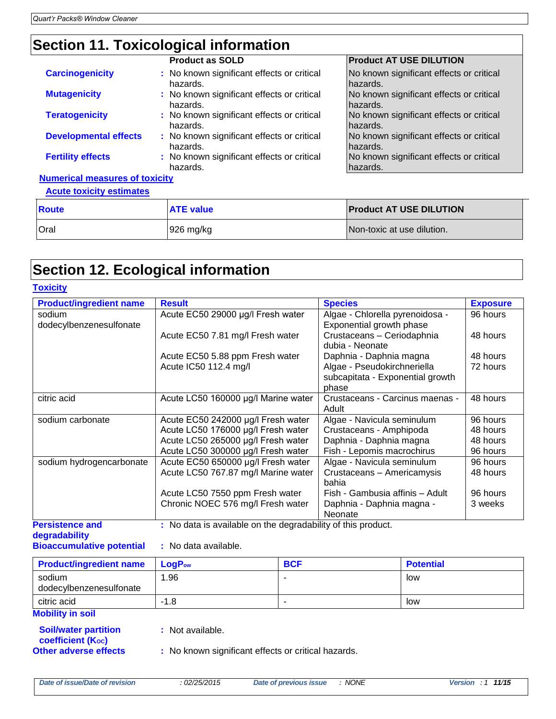### **Section 11. Toxicological information**

|                                       | <b>Product as SOLD</b>                                 | <b>Product AT USE DILUTION</b>                       |
|---------------------------------------|--------------------------------------------------------|------------------------------------------------------|
| <b>Carcinogenicity</b>                | : No known significant effects or critical<br>hazards. | No known significant effects or critical<br>hazards. |
| <b>Mutagenicity</b>                   | : No known significant effects or critical<br>hazards. | No known significant effects or critical<br>hazards. |
| <b>Teratogenicity</b>                 | : No known significant effects or critical<br>hazards. | No known significant effects or critical<br>hazards. |
| <b>Developmental effects</b>          | : No known significant effects or critical<br>hazards. | No known significant effects or critical<br>hazards. |
| <b>Fertility effects</b>              | : No known significant effects or critical<br>hazards. | No known significant effects or critical<br>hazards. |
| <b>Numerical measures of toxicity</b> |                                                        |                                                      |

**Acute toxicity estimates**

| <b>Route</b> | <b>ATE value</b> | <b>Product AT USE DILUTION</b> |
|--------------|------------------|--------------------------------|
| <b>Oral</b>  | 926 mg/kg        | Non-toxic at use dilution.     |

#### **Section 12. Ecological information**

| <b>Toxicity</b>                   |                                                              |                                                                          |                 |
|-----------------------------------|--------------------------------------------------------------|--------------------------------------------------------------------------|-----------------|
| <b>Product/ingredient name</b>    | <b>Result</b>                                                | <b>Species</b>                                                           | <b>Exposure</b> |
| sodium<br>dodecylbenzenesulfonate | Acute EC50 29000 µg/l Fresh water                            | Algae - Chlorella pyrenoidosa -<br>Exponential growth phase              | 96 hours        |
|                                   | Acute EC50 7.81 mg/l Fresh water                             | Crustaceans - Ceriodaphnia<br>dubia - Neonate                            | 48 hours        |
|                                   | Acute EC50 5.88 ppm Fresh water                              | Daphnia - Daphnia magna                                                  | 48 hours        |
|                                   | Acute IC50 112.4 mg/l                                        | Algae - Pseudokirchneriella<br>subcapitata - Exponential growth<br>phase | 72 hours        |
| citric acid                       | Acute LC50 160000 µg/l Marine water                          | Crustaceans - Carcinus maenas -<br>Adult                                 | 48 hours        |
| sodium carbonate                  | Acute EC50 242000 µg/l Fresh water                           | Algae - Navicula seminulum                                               | 96 hours        |
|                                   | Acute LC50 176000 µg/l Fresh water                           | Crustaceans - Amphipoda                                                  | 48 hours        |
|                                   | Acute LC50 265000 µg/l Fresh water                           | Daphnia - Daphnia magna                                                  | 48 hours        |
|                                   | Acute LC50 300000 µg/l Fresh water                           | Fish - Lepomis macrochirus                                               | 96 hours        |
| sodium hydrogencarbonate          | Acute EC50 650000 µg/l Fresh water                           | Algae - Navicula seminulum                                               | 96 hours        |
|                                   | Acute LC50 767.87 mg/l Marine water                          | Crustaceans - Americamysis<br>bahia                                      | 48 hours        |
|                                   | Acute LC50 7550 ppm Fresh water                              | Fish - Gambusia affinis - Adult                                          | 96 hours        |
|                                   | Chronic NOEC 576 mg/l Fresh water                            | Daphnia - Daphnia magna -<br>Neonate                                     | 3 weeks         |
| <b>Persistence and</b>            | : No data is available on the degradability of this product. |                                                                          |                 |

**degradability**

**Bioaccumulative potential :** No data available.

| <b>Product/ingredient name</b>    | <b>LogP</b> <sub>ow</sub> | <b>BCF</b> | <b>Potential</b> |
|-----------------------------------|---------------------------|------------|------------------|
| sodium<br>dodecylbenzenesulfonate | 1.96                      |            | low              |
| citric acid<br>.                  | $-1.8$                    | -          | low              |

#### **Mobility in soil**

**Soil/water partition coefficient (Koc) Other adverse effects** : No known significant effects or critical hazards.

**:** Not available.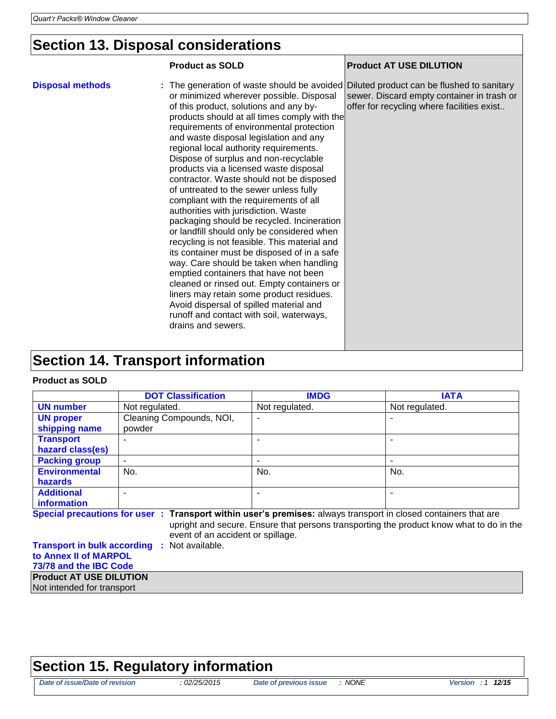## **Section 13. Disposal considerations**

|                                          | <b>Product as SOLD</b>                                                                                                                                                                                                                                                                                                                                                                                                                                                                                                                                                                                                                                                                                                                                                                                                                                                                                                                                                                                                                                                                                        | <b>Product AT USE DILUTION</b>                                                           |
|------------------------------------------|---------------------------------------------------------------------------------------------------------------------------------------------------------------------------------------------------------------------------------------------------------------------------------------------------------------------------------------------------------------------------------------------------------------------------------------------------------------------------------------------------------------------------------------------------------------------------------------------------------------------------------------------------------------------------------------------------------------------------------------------------------------------------------------------------------------------------------------------------------------------------------------------------------------------------------------------------------------------------------------------------------------------------------------------------------------------------------------------------------------|------------------------------------------------------------------------------------------|
| <b>Disposal methods</b>                  | : The generation of waste should be avoided Diluted product can be flushed to sanitary<br>or minimized wherever possible. Disposal<br>of this product, solutions and any by-<br>products should at all times comply with the<br>requirements of environmental protection<br>and waste disposal legislation and any<br>regional local authority requirements.<br>Dispose of surplus and non-recyclable<br>products via a licensed waste disposal<br>contractor. Waste should not be disposed<br>of untreated to the sewer unless fully<br>compliant with the requirements of all<br>authorities with jurisdiction. Waste<br>packaging should be recycled. Incineration<br>or landfill should only be considered when<br>recycling is not feasible. This material and<br>its container must be disposed of in a safe<br>way. Care should be taken when handling<br>emptied containers that have not been<br>cleaned or rinsed out. Empty containers or<br>liners may retain some product residues.<br>Avoid dispersal of spilled material and<br>runoff and contact with soil, waterways,<br>drains and sewers. | sewer. Discard empty container in trash or<br>offer for recycling where facilities exist |
| <b>Section 14. Transport information</b> |                                                                                                                                                                                                                                                                                                                                                                                                                                                                                                                                                                                                                                                                                                                                                                                                                                                                                                                                                                                                                                                                                                               |                                                                                          |
|                                          |                                                                                                                                                                                                                                                                                                                                                                                                                                                                                                                                                                                                                                                                                                                                                                                                                                                                                                                                                                                                                                                                                                               |                                                                                          |

#### **Product as SOLD**

|                                                                                                                                                                                                                                                 | <b>DOT Classification</b>                                                       | <b>IMDG</b>              | <b>IATA</b>    |  |  |  |  |
|-------------------------------------------------------------------------------------------------------------------------------------------------------------------------------------------------------------------------------------------------|---------------------------------------------------------------------------------|--------------------------|----------------|--|--|--|--|
| <b>UN number</b>                                                                                                                                                                                                                                | Not regulated.                                                                  | Not regulated.           | Not regulated. |  |  |  |  |
| <b>UN proper</b><br>shipping name                                                                                                                                                                                                               | Cleaning Compounds, NOI,<br>powder                                              | ۰                        |                |  |  |  |  |
| <b>Transport</b><br>hazard class(es)                                                                                                                                                                                                            |                                                                                 |                          |                |  |  |  |  |
| <b>Packing group</b>                                                                                                                                                                                                                            | ٠                                                                               | $\overline{\phantom{a}}$ |                |  |  |  |  |
| <b>Environmental</b><br>hazards                                                                                                                                                                                                                 | No.                                                                             | No.                      | No.            |  |  |  |  |
| <b>Additional</b><br><i>information</i>                                                                                                                                                                                                         | $\overline{\phantom{0}}$                                                        | $\overline{\phantom{0}}$ |                |  |  |  |  |
| Special precautions for user : Transport within user's premises: always transport in closed containers that are<br>upright and secure. Ensure that persons transporting the product know what to do in the<br>event of an accident or spillage. |                                                                                 |                          |                |  |  |  |  |
|                                                                                                                                                                                                                                                 | <b>Transport in bulk according</b><br>: Not available.<br>to Anney II of MARPOL |                          |                |  |  |  |  |

#### **the Annex II of MARP 73/78 and the IBC Code**

**Product AT USE DILUTION**

Not intended for transport

#### **Section 15. Regulatory information**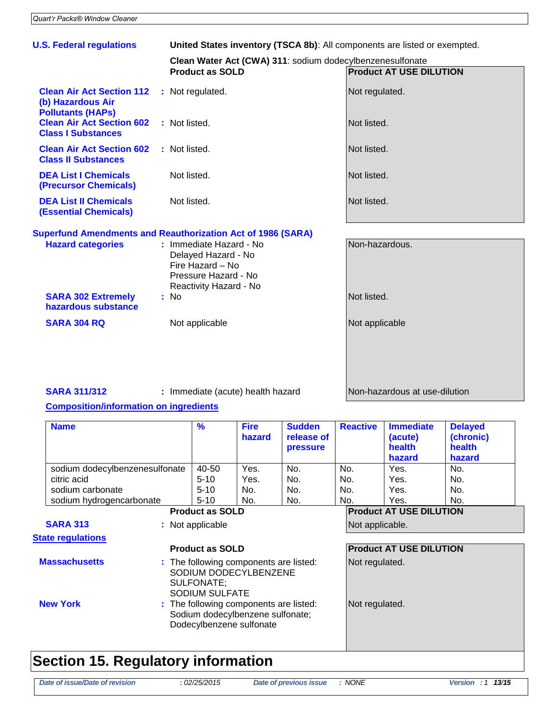| <b>U.S. Federal regulations</b>                                                   |  | United States inventory (TSCA 8b): All components are listed or exempted.                                            |                                |  |  |  |
|-----------------------------------------------------------------------------------|--|----------------------------------------------------------------------------------------------------------------------|--------------------------------|--|--|--|
|                                                                                   |  | Clean Water Act (CWA) 311: sodium dodecylbenzenesulfonate                                                            |                                |  |  |  |
|                                                                                   |  | <b>Product as SOLD</b>                                                                                               | <b>Product AT USE DILUTION</b> |  |  |  |
| <b>Clean Air Act Section 112</b><br>(b) Hazardous Air<br><b>Pollutants (HAPs)</b> |  | : Not regulated.                                                                                                     | Not regulated.                 |  |  |  |
| <b>Clean Air Act Section 602</b><br><b>Class I Substances</b>                     |  | : Not listed.                                                                                                        | Not listed.                    |  |  |  |
| <b>Clean Air Act Section 602</b><br><b>Class II Substances</b>                    |  | : Not listed.                                                                                                        | Not listed.                    |  |  |  |
| <b>DEA List I Chemicals</b><br><b>(Precursor Chemicals)</b>                       |  | Not listed.                                                                                                          | Not listed.                    |  |  |  |
| <b>DEA List II Chemicals</b><br><b>(Essential Chemicals)</b>                      |  | Not listed.                                                                                                          | Not listed.                    |  |  |  |
|                                                                                   |  | <b>Superfund Amendments and Reauthorization Act of 1986 (SARA)</b>                                                   |                                |  |  |  |
| <b>Hazard categories</b>                                                          |  | : Immediate Hazard - No<br>Delayed Hazard - No<br>Fire Hazard - No<br>Pressure Hazard - No<br>Reactivity Hazard - No | Non-hazardous.                 |  |  |  |
| <b>SARA 302 Extremely</b><br>hazardous substance                                  |  | : No                                                                                                                 | Not listed.                    |  |  |  |
| <b>SARA 304 RQ</b>                                                                |  | Not applicable                                                                                                       | Not applicable                 |  |  |  |
|                                                                                   |  |                                                                                                                      |                                |  |  |  |

**SARA 311/312 :** Immediate (acute) health hazard **Non-hazardous at use-dilution** 

#### **Composition/information on ingredients**

| <b>Name</b>                    | $\frac{9}{6}$                | <b>Fire</b><br>hazard                                                                                  | <b>Sudden</b><br>release of<br><b>pressure</b> | <b>Reactive</b> | <b>Immediate</b><br>(acute)<br>health<br>hazard | <b>Delayed</b><br>(chronic)<br>health<br>hazard |
|--------------------------------|------------------------------|--------------------------------------------------------------------------------------------------------|------------------------------------------------|-----------------|-------------------------------------------------|-------------------------------------------------|
| sodium dodecylbenzenesulfonate | 40-50                        | Yes.                                                                                                   | No.                                            | No.             | Yes.                                            | No.                                             |
| citric acid                    | $5 - 10$                     | Yes.                                                                                                   | No.                                            | No.             | Yes.                                            | No.                                             |
| sodium carbonate               | $5 - 10$                     | No.                                                                                                    | No.                                            | No.             | Yes.                                            | No.                                             |
| sodium hydrogencarbonate       | $5 - 10$                     | No.                                                                                                    | No.                                            | No.             | Yes.                                            | No.                                             |
|                                | <b>Product as SOLD</b>       |                                                                                                        |                                                |                 | <b>Product AT USE DILUTION</b>                  |                                                 |
| <b>SARA 313</b>                | : Not applicable             |                                                                                                        |                                                | Not applicable. |                                                 |                                                 |
| <b>State regulations</b>       |                              |                                                                                                        |                                                |                 |                                                 |                                                 |
|                                | <b>Product as SOLD</b>       |                                                                                                        |                                                |                 | <b>Product AT USE DILUTION</b>                  |                                                 |
| <b>Massachusetts</b>           | SULFONATE:<br>SODIUM SULFATE | : The following components are listed:<br>SODIUM DODECYLBENZENE                                        |                                                | Not regulated.  |                                                 |                                                 |
| <b>New York</b>                |                              | : The following components are listed:<br>Sodium dodecylbenzene sulfonate;<br>Dodecylbenzene sulfonate |                                                | Not regulated.  |                                                 |                                                 |

### **Section 15. Regulatory information**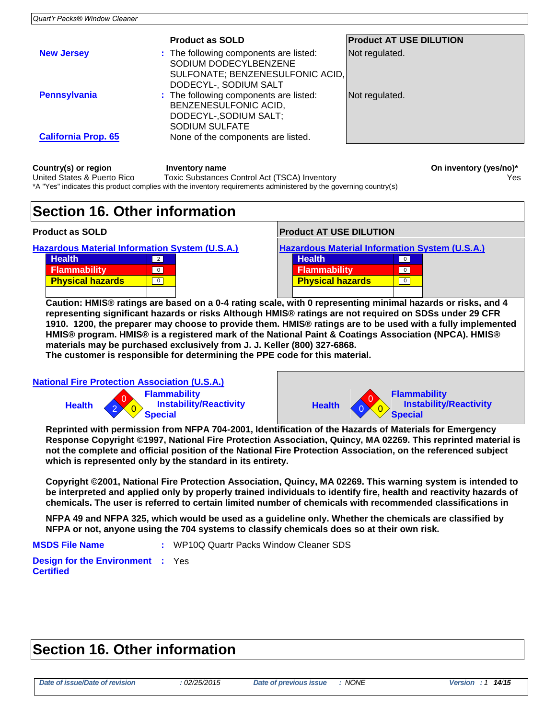|                            | <b>Product as SOLD</b>                                                                                                       | <b>Product AT USE DILUTION</b> |
|----------------------------|------------------------------------------------------------------------------------------------------------------------------|--------------------------------|
| <b>New Jersey</b>          | : The following components are listed:<br>SODIUM DODECYLBENZENE<br>SULFONATE; BENZENESULFONIC ACID,<br>DODECYL-, SODIUM SALT | Not regulated.                 |
| <b>Pennsylvania</b>        | : The following components are listed:<br>BENZENESULFONIC ACID,<br>DODECYL-, SODIUM SALT;<br><b>SODIUM SULFATE</b>           | Not regulated.                 |
| <b>California Prop. 65</b> | None of the components are listed.                                                                                           |                                |
|                            |                                                                                                                              |                                |

| Country(s) or region        | Inventory name                                                                                                    | On inventory (yes/no)* |
|-----------------------------|-------------------------------------------------------------------------------------------------------------------|------------------------|
| United States & Puerto Rico | Toxic Substances Control Act (TSCA) Inventory                                                                     | Yes                    |
|                             | *A "Yes" indicates this product complies with the inventory requirements administered by the governing country(s) |                        |

#### **Section 16. Other information**

| <b>FIUUUU AS SULD</b>                                |  |
|------------------------------------------------------|--|
| <b>Hazardous Material Information System (U.S.A.</b> |  |

| Health <sup>'</sup>     |  |
|-------------------------|--|
| Flammability            |  |
| <b>Physical hazards</b> |  |
|                         |  |

| <b>Product as SOLD</b>                         |                |  | <b>Product AT USE DILUTION</b>                        |                |  |
|------------------------------------------------|----------------|--|-------------------------------------------------------|----------------|--|
| Hazardous Material Information System (U.S.A.) |                |  | <b>Hazardous Material Information System (U.S.A.)</b> |                |  |
| <b>Health</b>                                  | $\overline{2}$ |  | <b>Health</b>                                         | $\overline{0}$ |  |
| <b>Flammability</b>                            | $\overline{0}$ |  | <b>Flammability</b>                                   | $\overline{0}$ |  |
| <b>Physical hazards</b>                        | $\mathbf 0$    |  | <b>Physical hazards</b>                               | $\mathbf{0}$   |  |
|                                                |                |  |                                                       |                |  |

**Caution: HMIS® ratings are based on a 0-4 rating scale, with 0 representing minimal hazards or risks, and 4 representing significant hazards or risks Although HMIS® ratings are not required on SDSs under 29 CFR 1910. 1200, the preparer may choose to provide them. HMIS® ratings are to be used with a fully implemented HMIS® program. HMIS® is a registered mark of the National Paint & Coatings Association (NPCA). HMIS® materials may be purchased exclusively from J. J. Keller (800) 327-6868.**

**The customer is responsible for determining the PPE code for this material.**

**National Fire Protection Association (U.S.A.)**





**Reprinted with permission from NFPA 704-2001, Identification of the Hazards of Materials for Emergency Response Copyright ©1997, National Fire Protection Association, Quincy, MA 02269. This reprinted material is not the complete and official position of the National Fire Protection Association, on the referenced subject which is represented only by the standard in its entirety.**

**Copyright ©2001, National Fire Protection Association, Quincy, MA 02269. This warning system is intended to be interpreted and applied only by properly trained individuals to identify fire, health and reactivity hazards of chemicals. The user is referred to certain limited number of chemicals with recommended classifications in**

**NFPA 49 and NFPA 325, which would be used as a guideline only. Whether the chemicals are classified by NFPA or not, anyone using the 704 systems to classify chemicals does so at their own risk.**

**MSDS File Name :** WP10Q Quartr Packs Window Cleaner SDS

**Design for the Environment :** Yes **Certified**

#### **Section 16. Other information**